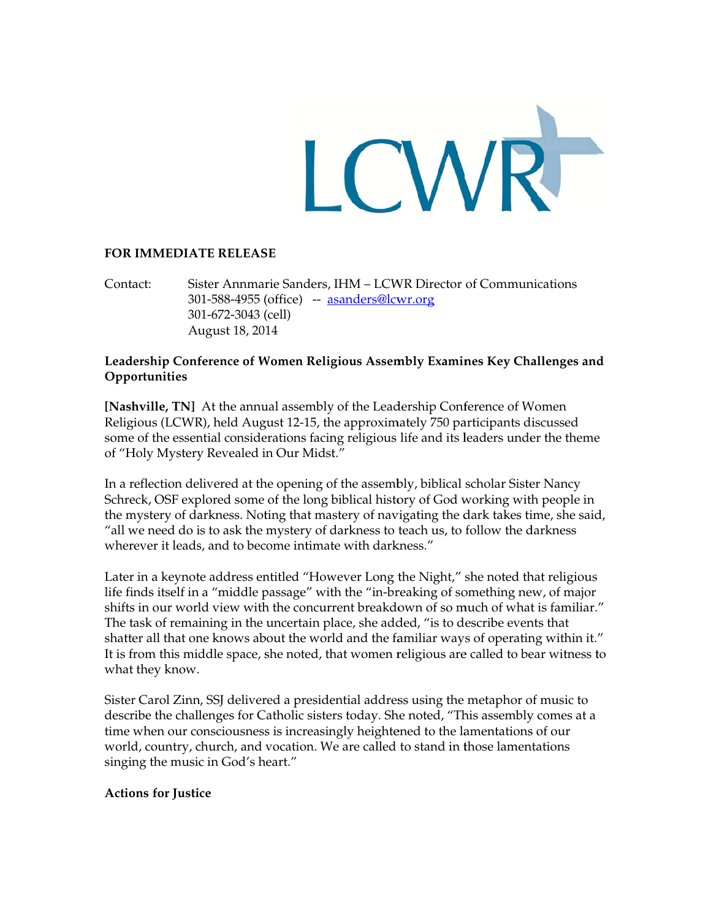

#### **FOR IMMEDIATE RELEASE**

Sister Annmarie Sanders, IHM - LCWR Director of Communications Contact: 301-588-4955 (office) -- asanders@lcwr.org 301-672-3043 (cell) August 18, 2014

## Leadership Conference of Women Religious Assembly Examines Key Challenges and Opportunities

[Nashville, TN] At the annual assembly of the Leadership Conference of Women Religious (LCWR), held August 12-15, the approximately 750 participants discussed some of the essential considerations facing religious life and its leaders under the theme of "Holy Mystery Revealed in Our Midst."

In a reflection delivered at the opening of the assembly, biblical scholar Sister Nancy Schreck, OSF explored some of the long biblical history of God working with people in the mystery of darkness. Noting that mastery of navigating the dark takes time, she said, "all we need do is to ask the mystery of darkness to teach us, to follow the darkness wherever it leads, and to become intimate with darkness."

Later in a keynote address entitled "However Long the Night," she noted that religious life finds itself in a "middle passage" with the "in-breaking of something new, of major shifts in our world view with the concurrent breakdown of so much of what is familiar." The task of remaining in the uncertain place, she added, "is to describe events that shatter all that one knows about the world and the familiar ways of operating within it." It is from this middle space, she noted, that women religious are called to bear witness to what they know.

Sister Carol Zinn, SSJ delivered a presidential address using the metaphor of music to describe the challenges for Catholic sisters today. She noted, "This assembly comes at a time when our consciousness is increasingly heightened to the lamentations of our world, country, church, and vocation. We are called to stand in those lamentations singing the music in God's heart."

## **Actions for Justice**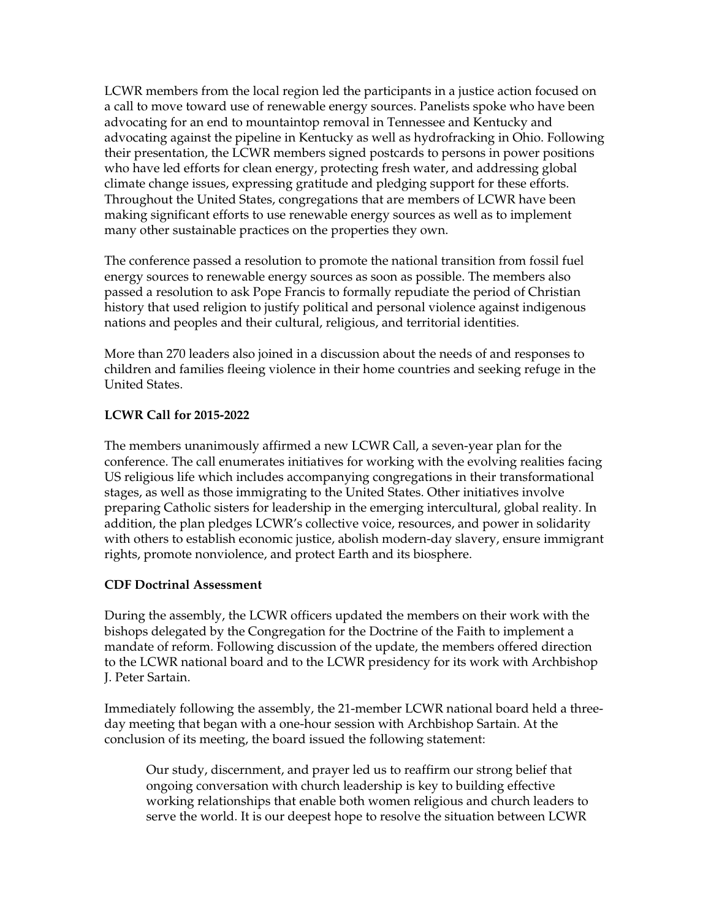LCWR members from the local region led the participants in a justice action focused on a call to move toward use of renewable energy sources. Panelists spoke who have been advocating for an end to mountaintop removal in Tennessee and Kentucky and advocating against the pipeline in Kentucky as well as hydrofracking in Ohio. Following their presentation, the LCWR members signed postcards to persons in power positions who have led efforts for clean energy, protecting fresh water, and addressing global climate change issues, expressing gratitude and pledging support for these efforts. Throughout the United States, congregations that are members of LCWR have been making significant efforts to use renewable energy sources as well as to implement many other sustainable practices on the properties they own.

The conference passed a resolution to promote the national transition from fossil fuel energy sources to renewable energy sources as soon as possible. The members also passed a resolution to ask Pope Francis to formally repudiate the period of Christian history that used religion to justify political and personal violence against indigenous nations and peoples and their cultural, religious, and territorial identities.

More than 270 leaders also joined in a discussion about the needs of and responses to children and families fleeing violence in their home countries and seeking refuge in the United States.

# **LCWR Call for 2015-2022**

The members unanimously affirmed a new LCWR Call, a seven-year plan for the conference. The call enumerates initiatives for working with the evolving realities facing US religious life which includes accompanying congregations in their transformational stages, as well as those immigrating to the United States. Other initiatives involve preparing Catholic sisters for leadership in the emerging intercultural, global reality. In addition, the plan pledges LCWR's collective voice, resources, and power in solidarity with others to establish economic justice, abolish modern-day slavery, ensure immigrant rights, promote nonviolence, and protect Earth and its biosphere.

## **CDF Doctrinal Assessment**

During the assembly, the LCWR officers updated the members on their work with the bishops delegated by the Congregation for the Doctrine of the Faith to implement a mandate of reform. Following discussion of the update, the members offered direction to the LCWR national board and to the LCWR presidency for its work with Archbishop J. Peter Sartain.

Immediately following the assembly, the 21-member LCWR national board held a threeday meeting that began with a one-hour session with Archbishop Sartain. At the conclusion of its meeting, the board issued the following statement:

Our study, discernment, and prayer led us to reaffirm our strong belief that ongoing conversation with church leadership is key to building effective working relationships that enable both women religious and church leaders to serve the world. It is our deepest hope to resolve the situation between LCWR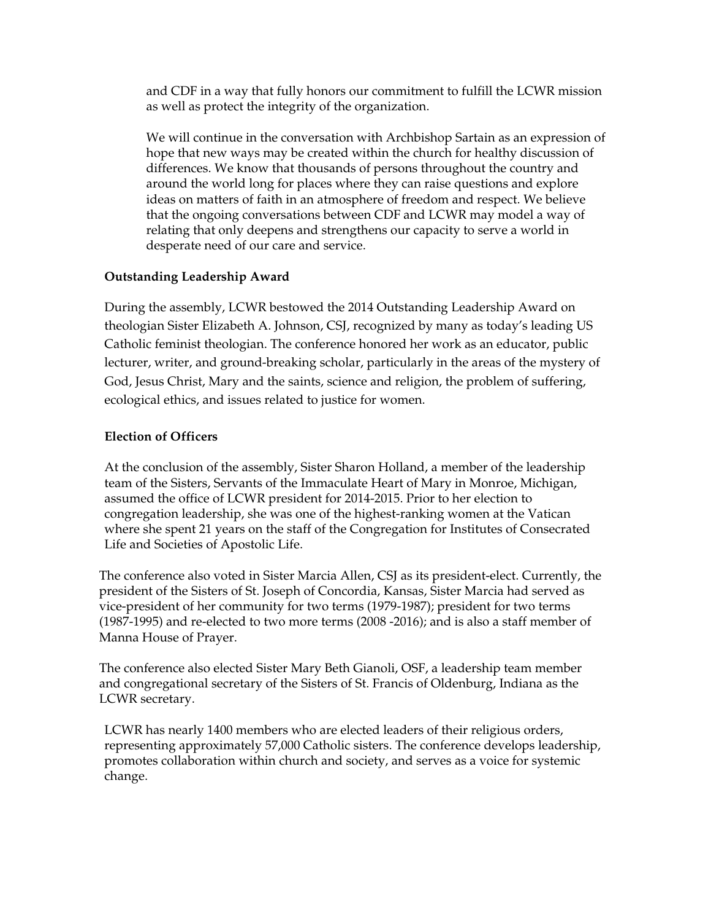and CDF in a way that fully honors our commitment to fulfill the LCWR mission as well as protect the integrity of the organization.

We will continue in the conversation with Archbishop Sartain as an expression of hope that new ways may be created within the church for healthy discussion of differences. We know that thousands of persons throughout the country and around the world long for places where they can raise questions and explore ideas on matters of faith in an atmosphere of freedom and respect. We believe that the ongoing conversations between CDF and LCWR may model a way of relating that only deepens and strengthens our capacity to serve a world in desperate need of our care and service.

## **Outstanding Leadership Award**

During the assembly, LCWR bestowed the 2014 Outstanding Leadership Award on theologian Sister Elizabeth A. Johnson, CSJ, recognized by many as today's leading US Catholic feminist theologian. The conference honored her work as an educator, public lecturer, writer, and ground-breaking scholar, particularly in the areas of the mystery of God, Jesus Christ, Mary and the saints, science and religion, the problem of suffering, ecological ethics, and issues related to justice for women.

#### **Election of Officers**

At the conclusion of the assembly, Sister Sharon Holland, a member of the leadership team of the Sisters, Servants of the Immaculate Heart of Mary in Monroe, Michigan, assumed the office of LCWR president for 2014-2015. Prior to her election to congregation leadership, she was one of the highest-ranking women at the Vatican where she spent 21 years on the staff of the Congregation for Institutes of Consecrated Life and Societies of Apostolic Life.

The conference also voted in Sister Marcia Allen, CSJ as its president-elect. Currently, the president of the Sisters of St. Joseph of Concordia, Kansas, Sister Marcia had served as vice-president of her community for two terms (1979-1987); president for two terms (1987-1995) and re-elected to two more terms (2008 -2016); and is also a staff member of Manna House of Prayer.

The conference also elected Sister Mary Beth Gianoli, OSF, a leadership team member and congregational secretary of the Sisters of St. Francis of Oldenburg, Indiana as the LCWR secretary.

LCWR has nearly 1400 members who are elected leaders of their religious orders, representing approximately 57,000 Catholic sisters. The conference develops leadership, promotes collaboration within church and society, and serves as a voice for systemic change.